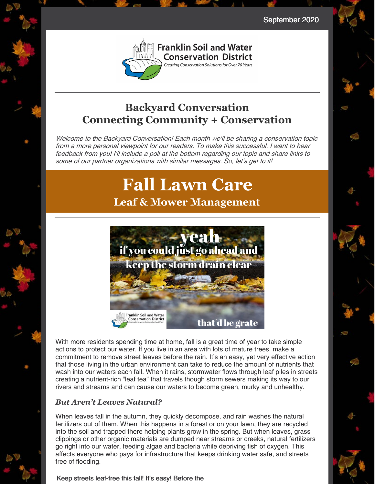September 2020



#### **Backyard Conversation Connecting Community + Conservation**

Welcome to the Backyard Conversation! Each month we'll be sharing <sup>a</sup> conservation topic from <sup>a</sup> more personal viewpoint for our readers. To make this successful, I want to hear feedback from you! I'll include <sup>a</sup> poll at the bottom regarding our topic and share links to some of our partner organizations with similar messages. So, let's get to it!

# **Fall Lawn Care Leaf & Mower Management**



With more residents spending time at home, fall is a great time of year to take simple actions to protect our water. If you live in an area with lots of mature trees, make a commitment to remove street leaves before the rain. It's an easy, yet very effective action that those living in the urban environment can take to reduce the amount of nutrients that wash into our waters each fall. When it rains, stormwater flows through leaf piles in streets creating a nutrient-rich "leaf tea" that travels though storm sewers making its way to our rivers and streams and can cause our waters to become green, murky and unhealthy.

#### *But Aren't Leaves Natural?*

When leaves fall in the autumn, they quickly decompose, and rain washes the natural fertilizers out of them. When this happens in a forest or on your lawn, they are recycled into the soil and trapped there helping plants grow in the spring. But when leaves, grass clippings or other organic materials are dumped near streams or creeks, natural fertilizers go right into our water, feeding algae and bacteria while depriving fish of oxygen. This affects everyone who pays for infrastructure that keeps drinking water safe, and streets free of flooding.

#### Keep streets leaf-free this fall! It's easy! Before the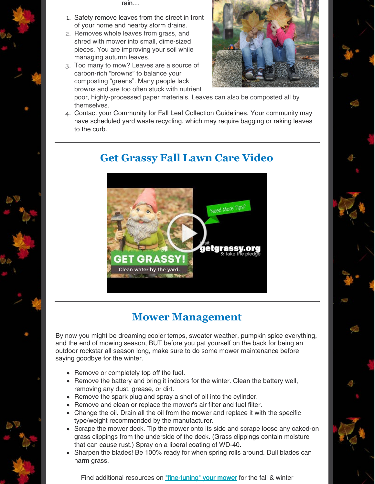rain…

- 1. Safety remove leaves from the street in front of your home and nearby storm drains.
- 2. Removes whole leaves from grass, and shred with mower into small, dime-sized pieces. You are improving your soil while managing autumn leaves.
- 3. Too many to mow? Leaves are a source of carbon-rich "browns" to balance your composting "greens". Many people lack browns and are too often stuck with nutrient



poor, highly-processed paper materials. Leaves can also be composted all by themselves.

4. Contact your Community for Fall Leaf Collection Guidelines. Your community may have scheduled yard waste recycling, which may require bagging or raking leaves to the curb.



#### **Get Grassy Fall Lawn Care Video**

### **Mower Management**

By now you might be dreaming cooler temps, sweater weather, pumpkin spice everything, and the end of mowing season, BUT before you pat yourself on the back for being an outdoor rockstar all season long, make sure to do some mower maintenance before saying goodbye for the winter.

- Remove or completely top off the fuel.
- Remove the battery and bring it indoors for the winter. Clean the battery well, removing any dust, grease, or dirt.
- Remove the spark plug and spray a shot of oil into the cylinder.
- Remove and clean or replace the mower's air filter and fuel filter.
- Change the oil. Drain all the oil from the mower and replace it with the specific type/weight recommended by the manufacturer.
- Scrape the mower deck. Tip the mower onto its side and scrape loose any caked-on grass clippings from the underside of the deck. (Grass clippings contain moisture that can cause rust.) Spray on a liberal coating of WD-40.
- Sharpen the blades! Be 100% ready for when spring rolls around. Dull blades can harm grass.

Find additional resources on ["fine-tuning"](https://www.scotts.com/en-us/library/spreaders-mowing-tools/how-tune-lawn-mower) your mower for the fall & winter